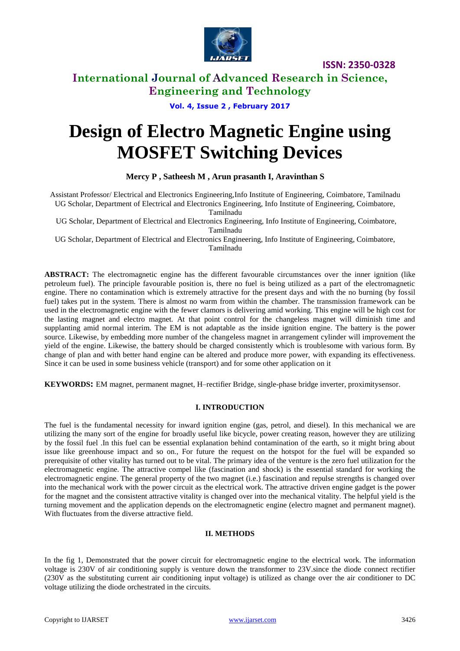

### **International Journal of Advanced Research in Science, Engineering and Technology**

**Vol. 4, Issue 2 , February 2017**

# **Design of Electro Magnetic Engine using MOSFET Switching Devices**

**Mercy P , Satheesh M , Arun prasanth I, Aravinthan S** 

Assistant Professor/ Electrical and Electronics Engineering,Info Institute of Engineering, Coimbatore, Tamilnadu UG Scholar, Department of Electrical and Electronics Engineering, Info Institute of Engineering, Coimbatore,

Tamilnadu

UG Scholar, Department of Electrical and Electronics Engineering, Info Institute of Engineering, Coimbatore, Tamilnadu

UG Scholar, Department of Electrical and Electronics Engineering, Info Institute of Engineering, Coimbatore, Tamilnadu

**ABSTRACT:** The electromagnetic engine has the different favourable circumstances over the inner ignition (like petroleum fuel). The principle favourable position is, there no fuel is being utilized as a part of the electromagnetic engine. There no contamination which is extremely attractive for the present days and with the no burning (by fossil fuel) takes put in the system. There is almost no warm from within the chamber. The transmission framework can be used in the electromagnetic engine with the fewer clamors is delivering amid working. This engine will be high cost for the lasting magnet and electro magnet. At that point control for the changeless magnet will diminish time and supplanting amid normal interim. The EM is not adaptable as the inside ignition engine. The battery is the power source. Likewise, by embedding more number of the changeless magnet in arrangement cylinder will improvement the yield of the engine. Likewise, the battery should be charged consistently which is troublesome with various form. By change of plan and with better hand engine can be altered and produce more power, with expanding its effectiveness. Since it can be used in some business vehicle (transport) and for some other application on it

**KEYWORDS:** EM magnet, permanent magnet, H–rectifier Bridge, single-phase bridge inverter, proximitysensor.

#### **I. INTRODUCTION**

The fuel is the fundamental necessity for inward ignition engine (gas, petrol, and diesel). In this mechanical we are utilizing the many sort of the engine for broadly useful like bicycle, power creating reason, however they are utilizing by the fossil fuel .In this fuel can be essential explanation behind contamination of the earth, so it might bring about issue like greenhouse impact and so on., For future the request on the hotspot for the fuel will be expanded so prerequisite of other vitality has turned out to be vital. The primary idea of the venture is the zero fuel utilization for the electromagnetic engine. The attractive compel like (fascination and shock) is the essential standard for working the electromagnetic engine. The general property of the two magnet (i.e.) fascination and repulse strengths is changed over into the mechanical work with the power circuit as the electrical work. The attractive driven engine gadget is the power for the magnet and the consistent attractive vitality is changed over into the mechanical vitality. The helpful yield is the turning movement and the application depends on the electromagnetic engine (electro magnet and permanent magnet). With fluctuates from the diverse attractive field.

#### **II. METHODS**

In the fig 1, Demonstrated that the power circuit for electromagnetic engine to the electrical work. The information voltage is 230V of air conditioning supply is venture down the transformer to 23V.since the diode connect rectifier (230V as the substituting current air conditioning input voltage) is utilized as change over the air conditioner to DC voltage utilizing the diode orchestrated in the circuits.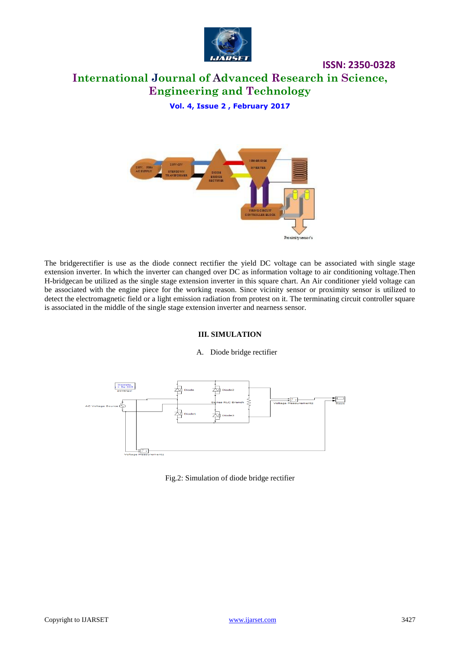

### **ISSN: 2350-0328 International Journal of Advanced Research in Science, Engineering and Technology**

**Vol. 4, Issue 2 , February 2017**



The bridgerectifier is use as the diode connect rectifier the yield DC voltage can be associated with single stage extension inverter. In which the inverter can changed over DC as information voltage to air conditioning voltage.Then H-bridgecan be utilized as the single stage extension inverter in this square chart. An Air conditioner yield voltage can be associated with the engine piece for the working reason. Since vicinity sensor or proximity sensor is utilized to detect the electromagnetic field or a light emission radiation from protest on it. The terminating circuit controller square is associated in the middle of the single stage extension inverter and nearness sensor.

#### **III. SIMULATION**

#### A. Diode bridge rectifier



#### Fig.2: Simulation of diode bridge rectifier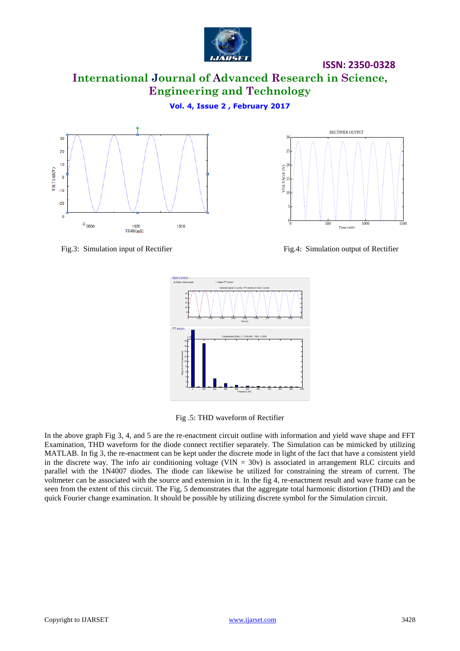

**International Journal of Advanced Research in Science, Engineering and Technology**

**Vol. 4, Issue 2 , February 2017**





Fig.3: Simulation input of Rectifier Fig.4: Simulation output of Rectifier



Fig .5: THD waveform of Rectifier

In the above graph Fig 3, 4, and 5 are the re-enactment circuit outline with information and yield wave shape and FFT Examination, THD waveform for the diode connect rectifier separately. The Simulation can be mimicked by utilizing MATLAB. In fig 3, the re-enactment can be kept under the discrete mode in light of the fact that have a consistent yield in the discrete way. The info air conditioning voltage (VIN  $= 30v$ ) is associated in arrangement RLC circuits and parallel with the 1N4007 diodes. The diode can likewise be utilized for constraining the stream of current. The voltmeter can be associated with the source and extension in it. In the fig 4, re-enactment result and wave frame can be seen from the extent of this circuit. The Fig, 5 demonstrates that the aggregate total harmonic distortion (THD) and the quick Fourier change examination. It should be possible by utilizing discrete symbol for the Simulation circuit.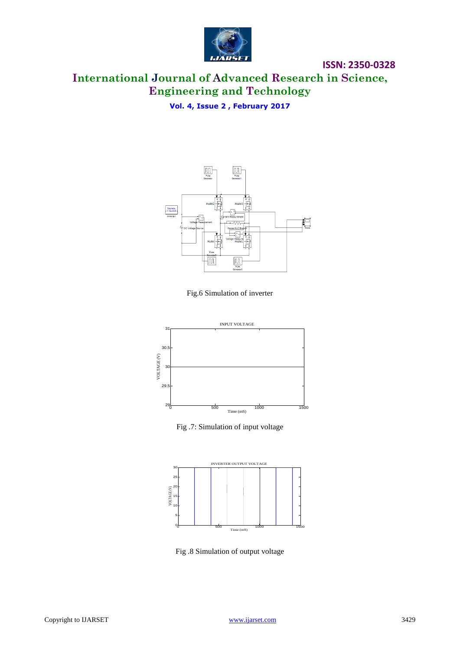

## **International Journal of Advanced Research in Science, Engineering and Technology**

**Vol. 4, Issue 2 , February 2017**



Fig.6 Simulation of inverter



Fig .7: Simulation of input voltage



Fig .8 Simulation of output voltage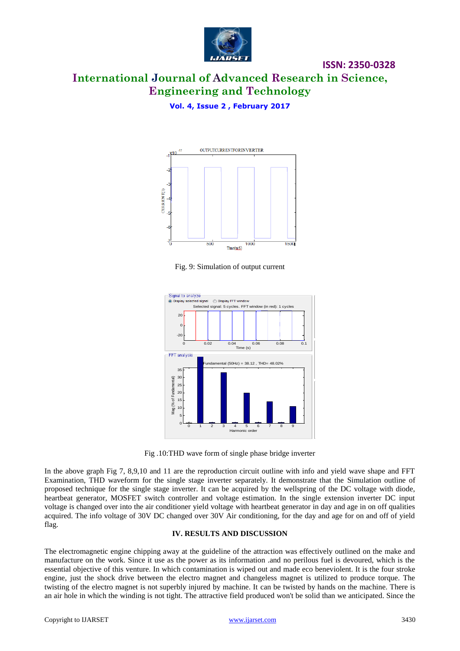

# **International Journal of Advanced Research in Science, Engineering and Technology**

**ISSN: 2350-0328**

**Vol. 4, Issue 2 , February 2017**



Fig. 9: Simulation of output current



Fig .10:THD wave form of single phase bridge inverter

In the above graph Fig 7, 8,9,10 and 11 are the reproduction circuit outline with info and yield wave shape and FFT Examination, THD waveform for the single stage inverter separately. It demonstrate that the Simulation outline of proposed technique for the single stage inverter. It can be acquired by the wellspring of the DC voltage with diode, heartbeat generator, MOSFET switch controller and voltage estimation. In the single extension inverter DC input voltage is changed over into the air conditioner yield voltage with heartbeat generator in day and age in on off qualities acquired. The info voltage of 30V DC changed over 30V Air conditioning, for the day and age for on and off of yield flag.

#### **IV. RESULTS AND DISCUSSION**

The electromagnetic engine chipping away at the guideline of the attraction was effectively outlined on the make and manufacture on the work. Since it use as the power as its information .and no perilous fuel is devoured, which is the essential objective of this venture. In which contamination is wiped out and made eco beneviolent. It is the four stroke engine, just the shock drive between the electro magnet and changeless magnet is utilized to produce torque. The twisting of the electro magnet is not superbly injured by machine. It can be twisted by hands on the machine. There is an air hole in which the winding is not tight. The attractive field produced won't be solid than we anticipated. Since the